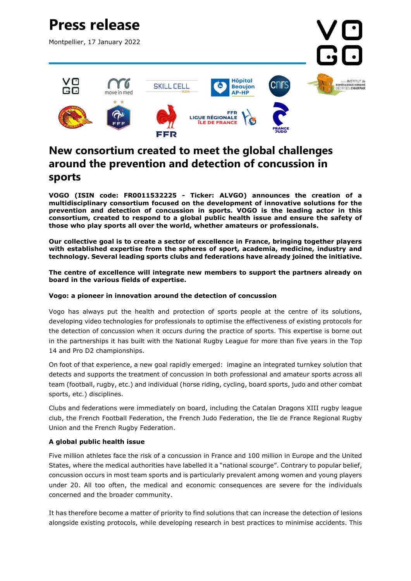

## New consortium created to meet the global challenges around the prevention and detection of concussion in sports

VOGO (ISIN code: FR0011532225 - Ticker: ALVGO) announces the creation of a multidisciplinary consortium focused on the development of innovative solutions for the prevention and detection of concussion in sports. VOGO is the leading actor in this consortium, created to respond to a global public health issue and ensure the safety of those who play sports all over the world, whether amateurs or professionals.

Our collective goal is to create a sector of excellence in France, bringing together players with established expertise from the spheres of sport, academia, medicine, industry and technology. Several leading sports clubs and federations have already joined the initiative.

#### The centre of excellence will integrate new members to support the partners already on board in the various fields of expertise.

#### Vogo: a pioneer in innovation around the detection of concussion

Vogo has always put the health and protection of sports people at the centre of its solutions, developing video technologies for professionals to optimise the effectiveness of existing protocols for the detection of concussion when it occurs during the practice of sports. This expertise is borne out in the partnerships it has built with the National Rugby League for more than five years in the Top 14 and Pro D2 championships.

On foot of that experience, a new goal rapidly emerged: imagine an integrated turnkey solution that detects and supports the treatment of concussion in both professional and amateur sports across all team (football, rugby, etc.) and individual (horse riding, cycling, board sports, judo and other combat sports, etc.) disciplines.

Clubs and federations were immediately on board, including the Catalan Dragons XIII rugby league club, the French Football Federation, the French Judo Federation, the Ile de France Regional Rugby Union and the French Rugby Federation.

### A global public health issue

Five million athletes face the risk of a concussion in France and 100 million in Europe and the United States, where the medical authorities have labelled it a "national scourge". Contrary to popular belief, concussion occurs in most team sports and is particularly prevalent among women and young players under 20. All too often, the medical and economic consequences are severe for the individuals concerned and the broader community.

It has therefore become a matter of priority to find solutions that can increase the detection of lesions alongside existing protocols, while developing research in best practices to minimise accidents. This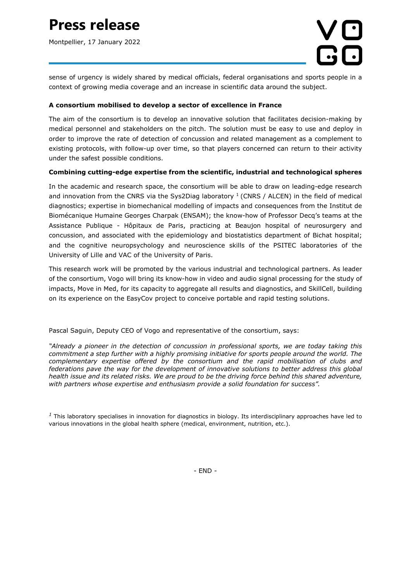## Press release

Montpellier, 17 January 2022



sense of urgency is widely shared by medical officials, federal organisations and sports people in a context of growing media coverage and an increase in scientific data around the subject.

### A consortium mobilised to develop a sector of excellence in France

The aim of the consortium is to develop an innovative solution that facilitates decision-making by medical personnel and stakeholders on the pitch. The solution must be easy to use and deploy in order to improve the rate of detection of concussion and related management as a complement to existing protocols, with follow-up over time, so that players concerned can return to their activity under the safest possible conditions.

#### Combining cutting-edge expertise from the scientific, industrial and technological spheres

In the academic and research space, the consortium will be able to draw on leading-edge research and innovation from the CNRS via the Sys2Diag laboratory  $1$  (CNRS / ALCEN) in the field of medical diagnostics; expertise in biomechanical modelling of impacts and consequences from the Institut de Biomécanique Humaine Georges Charpak (ENSAM); the know-how of Professor Decq's teams at the Assistance Publique - Hôpitaux de Paris, practicing at Beaujon hospital of neurosurgery and concussion, and associated with the epidemiology and biostatistics department of Bichat hospital; and the cognitive neuropsychology and neuroscience skills of the PSITEC laboratories of the University of Lille and VAC of the University of Paris.

This research work will be promoted by the various industrial and technological partners. As leader of the consortium, Vogo will bring its know-how in video and audio signal processing for the study of impacts, Move in Med, for its capacity to aggregate all results and diagnostics, and SkillCell, building on its experience on the EasyCov project to conceive portable and rapid testing solutions.

Pascal Saguin, Deputy CEO of Vogo and representative of the consortium, says:

"Already a pioneer in the detection of concussion in professional sports, we are today taking this commitment a step further with a highly promising initiative for sports people around the world. The complementary expertise offered by the consortium and the rapid mobilisation of clubs and federations pave the way for the development of innovative solutions to better address this global health issue and its related risks. We are proud to be the driving force behind this shared adventure, with partners whose expertise and enthusiasm provide a solid foundation for success".

 $<sup>1</sup>$  This laboratory specialises in innovation for diagnostics in biology. Its interdisciplinary approaches have led to</sup> various innovations in the global health sphere (medical, environment, nutrition, etc.).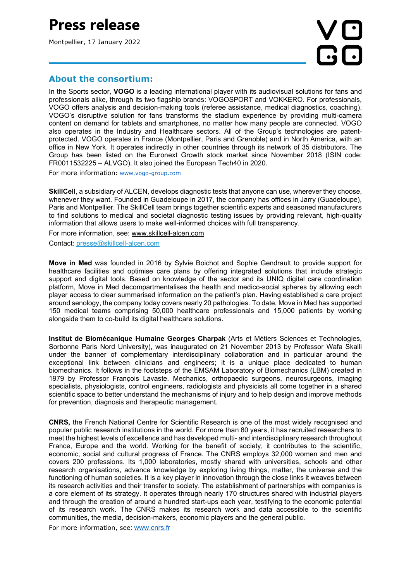## Press release

Montpellier, 17 January 2022

# **RG**

## About the consortium:

In the Sports sector, VOGO is a leading international player with its audiovisual solutions for fans and professionals alike, through its two flagship brands: VOGOSPORT and VOKKERO. For professionals, VOGO offers analysis and decision-making tools (referee assistance, medical diagnostics, coaching). VOGO's disruptive solution for fans transforms the stadium experience by providing multi-camera content on demand for tablets and smartphones, no matter how many people are connected. VOGO also operates in the Industry and Healthcare sectors. All of the Group's technologies are patentprotected. VOGO operates in France (Montpellier, Paris and Grenoble) and in North America, with an office in New York. It operates indirectly in other countries through its network of 35 distributors. The Group has been listed on the Euronext Growth stock market since November 2018 (ISIN code: FR0011532225 – ALVGO). It also joined the European Tech40 in 2020.

For more information: www.vogo-group.com

SkillCell, a subsidiary of ALCEN, develops diagnostic tests that anyone can use, wherever they choose, whenever they want. Founded in Guadeloupe in 2017, the company has offices in Jarry (Guadeloupe), Paris and Montpellier. The SkillCell team brings together scientific experts and seasoned manufacturers to find solutions to medical and societal diagnostic testing issues by providing relevant, high-quality information that allows users to make well-informed choices with full transparency.

For more information, see: www.skillcell-alcen.com

Contact: presse@skillcell-alcen.com

Move in Med was founded in 2016 by Sylvie Boichot and Sophie Gendrault to provide support for healthcare facilities and optimise care plans by offering integrated solutions that include strategic support and digital tools. Based on knowledge of the sector and its UNIQ digital care coordination platform, Move in Med decompartmentalises the health and medico-social spheres by allowing each player access to clear summarised information on the patient's plan. Having established a care project around senology, the company today covers nearly 20 pathologies. To date, Move in Med has supported 150 medical teams comprising 50,000 healthcare professionals and 15,000 patients by working alongside them to co-build its digital healthcare solutions.

Institut de Biomécanique Humaine Georges Charpak (Arts et Métiers Sciences et Technologies, Sorbonne Paris Nord University), was inaugurated on 21 November 2013 by Professor Wafa Skalli under the banner of complementary interdisciplinary collaboration and in particular around the exceptional link between clinicians and engineers; it is a unique place dedicated to human biomechanics. It follows in the footsteps of the EMSAM Laboratory of Biomechanics (LBM) created in 1979 by Professor François Lavaste. Mechanics, orthopaedic surgeons, neurosurgeons, imaging specialists, physiologists, control engineers, radiologists and physicists all come together in a shared scientific space to better understand the mechanisms of injury and to help design and improve methods for prevention, diagnosis and therapeutic management.

CNRS, the French National Centre for Scientific Research is one of the most widely recognised and popular public research institutions in the world. For more than 80 years, it has recruited researchers to meet the highest levels of excellence and has developed multi- and interdisciplinary research throughout France, Europe and the world. Working for the benefit of society, it contributes to the scientific, economic, social and cultural progress of France. The CNRS employs 32,000 women and men and covers 200 professions. Its 1,000 laboratories, mostly shared with universities, schools and other research organisations, advance knowledge by exploring living things, matter, the universe and the functioning of human societies. It is a key player in innovation through the close links it weaves between its research activities and their transfer to society. The establishment of partnerships with companies is a core element of its strategy. It operates through nearly 170 structures shared with industrial players and through the creation of around a hundred start-ups each year, testifying to the economic potential of its research work. The CNRS makes its research work and data accessible to the scientific communities, the media, decision-makers, economic players and the general public.

For more information, see: www.cnrs.fr